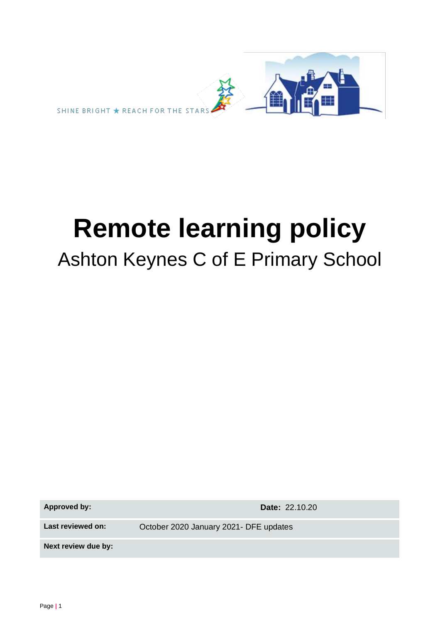

# **Remote learning policy** Ashton Keynes C of E Primary School

**Approved by: Date:** 22.10.20

**Last reviewed on:** October 2020 January 2021- DFE updates

**Next review due by:**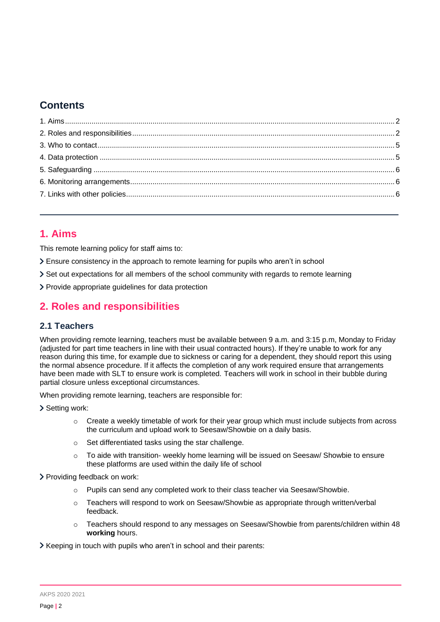# **Contents**

# <span id="page-1-0"></span>**1. Aims**

This remote learning policy for staff aims to:

Ensure consistency in the approach to remote learning for pupils who aren't in school

Set out expectations for all members of the school community with regards to remote learning

Provide appropriate guidelines for data protection

# <span id="page-1-1"></span>**2. Roles and responsibilities**

## **2.1 Teachers**

When providing remote learning, teachers must be available between 9 a.m. and 3:15 p.m, Monday to Friday (adjusted for part time teachers in line with their usual contracted hours). If they're unable to work for any reason during this time, for example due to sickness or caring for a dependent, they should report this using the normal absence procedure. If it affects the completion of any work required ensure that arrangements have been made with SLT to ensure work is completed. Teachers will work in school in their bubble during partial closure unless exceptional circumstances.

When providing remote learning, teachers are responsible for:

> Setting work:

- $\circ$  Create a weekly timetable of work for their year group which must include subjects from across the curriculum and upload work to Seesaw/Showbie on a daily basis.
- o Set differentiated tasks using the star challenge.
- o To aide with transition- weekly home learning will be issued on Seesaw/ Showbie to ensure these platforms are used within the daily life of school

Providing feedback on work:

- o Pupils can send any completed work to their class teacher via Seesaw/Showbie.
- $\circ$  Teachers will respond to work on Seesaw/Showbie as appropriate through written/verbal feedback.
- o Teachers should respond to any messages on Seesaw/Showbie from parents/children within 48 **working** hours.

Xeeping in touch with pupils who aren't in school and their parents: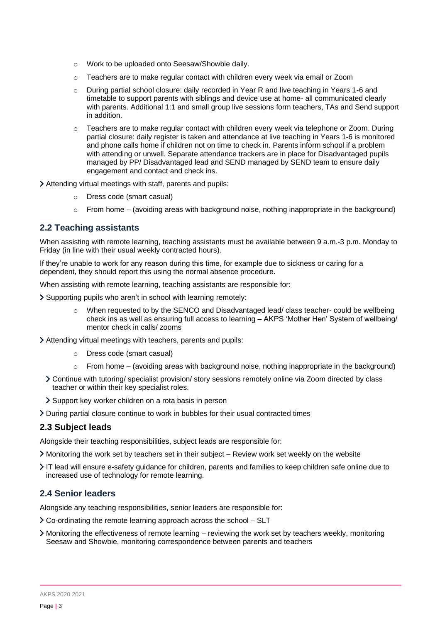- o Work to be uploaded onto Seesaw/Showbie daily.
- $\circ$  Teachers are to make regular contact with children every week via email or Zoom
- o During partial school closure: daily recorded in Year R and live teaching in Years 1-6 and timetable to support parents with siblings and device use at home- all communicated clearly with parents. Additional 1:1 and small group live sessions form teachers, TAs and Send support in addition.
- Teachers are to make regular contact with children every week via telephone or Zoom. During partial closure: daily register is taken and attendance at live teaching in Years 1-6 is monitored and phone calls home if children not on time to check in. Parents inform school if a problem with attending or unwell. Separate attendance trackers are in place for Disadvantaged pupils managed by PP/ Disadvantaged lead and SEND managed by SEND team to ensure daily engagement and contact and check ins.
- Attending virtual meetings with staff, parents and pupils:
	- o Dress code (smart casual)
	- $\circ$  From home (avoiding areas with background noise, nothing inappropriate in the background)

#### **2.2 Teaching assistants**

When assisting with remote learning, teaching assistants must be available between 9 a.m.-3 p.m. Monday to Friday (in line with their usual weekly contracted hours).

If they're unable to work for any reason during this time, for example due to sickness or caring for a dependent, they should report this using the normal absence procedure.

When assisting with remote learning, teaching assistants are responsible for:

Supporting pupils who aren't in school with learning remotely:

- o When requested to by the SENCO and Disadvantaged lead/ class teacher- could be wellbeing check ins as well as ensuring full access to learning – AKPS 'Mother Hen' System of wellbeing/ mentor check in calls/ zooms
- Attending virtual meetings with teachers, parents and pupils:
	- o Dress code (smart casual)
	- o From home (avoiding areas with background noise, nothing inappropriate in the background)
	- Continue with tutoring/ specialist provision/ story sessions remotely online via Zoom directed by class teacher or within their key specialist roles.
	- Support key worker children on a rota basis in person
- During partial closure continue to work in bubbles for their usual contracted times

#### **2.3 Subject leads**

Alongside their teaching responsibilities, subject leads are responsible for:

- Monitoring the work set by teachers set in their subject Review work set weekly on the website
- IT lead will ensure e-safety guidance for children, parents and families to keep children safe online due to increased use of technology for remote learning.

#### **2.4 Senior leaders**

Alongside any teaching responsibilities, senior leaders are responsible for:

- Co-ordinating the remote learning approach across the school SLT
- Monitoring the effectiveness of remote learning reviewing the work set by teachers weekly, monitoring Seesaw and Showbie, monitoring correspondence between parents and teachers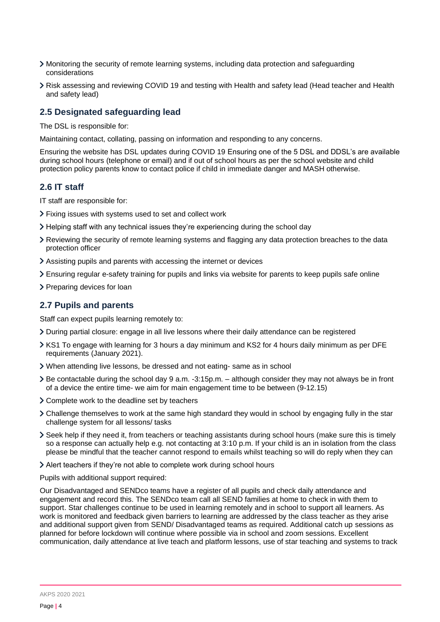- Monitoring the security of remote learning systems, including data protection and safeguarding considerations
- Risk assessing and reviewing COVID 19 and testing with Health and safety lead (Head teacher and Health and safety lead)

#### **2.5 Designated safeguarding lead**

The DSL is responsible for:

Maintaining contact, collating, passing on information and responding to any concerns.

Ensuring the website has DSL updates during COVID 19 Ensuring one of the 5 DSL and DDSL's are available during school hours (telephone or email) and if out of school hours as per the school website and child protection policy parents know to contact police if child in immediate danger and MASH otherwise.

#### **2.6 IT staff**

IT staff are responsible for:

- Fixing issues with systems used to set and collect work
- $\geq$  Helping staff with any technical issues they're experiencing during the school day
- Reviewing the security of remote learning systems and flagging any data protection breaches to the data protection officer
- Assisting pupils and parents with accessing the internet or devices
- Ensuring regular e-safety training for pupils and links via website for parents to keep pupils safe online
- > Preparing devices for loan

# **2.7 Pupils and parents**

Staff can expect pupils learning remotely to:

- During partial closure: engage in all live lessons where their daily attendance can be registered
- KS1 To engage with learning for 3 hours a day minimum and KS2 for 4 hours daily minimum as per DFE requirements (January 2021).
- When attending live lessons, be dressed and not eating- same as in school
- $\geq$  Be contactable during the school day 9 a.m. -3:15p.m.  $-$  although consider they may not always be in front of a device the entire time- we aim for main engagement time to be between (9-12.15)
- Complete work to the deadline set by teachers
- Challenge themselves to work at the same high standard they would in school by engaging fully in the star challenge system for all lessons/ tasks
- Seek help if they need it, from teachers or teaching assistants during school hours (make sure this is timely so a response can actually help e.g. not contacting at 3:10 p.m. If your child is an in isolation from the class please be mindful that the teacher cannot respond to emails whilst teaching so will do reply when they can
- Alert teachers if they're not able to complete work during school hours

Pupils with additional support required:

Our Disadvantaged and SENDco teams have a register of all pupils and check daily attendance and engagement and record this. The SENDco team call all SEND families at home to check in with them to support. Star challenges continue to be used in learning remotely and in school to support all learners. As work is monitored and feedback given barriers to learning are addressed by the class teacher as they arise and additional support given from SEND/ Disadvantaged teams as required. Additional catch up sessions as planned for before lockdown will continue where possible via in school and zoom sessions. Excellent communication, daily attendance at live teach and platform lessons, use of star teaching and systems to track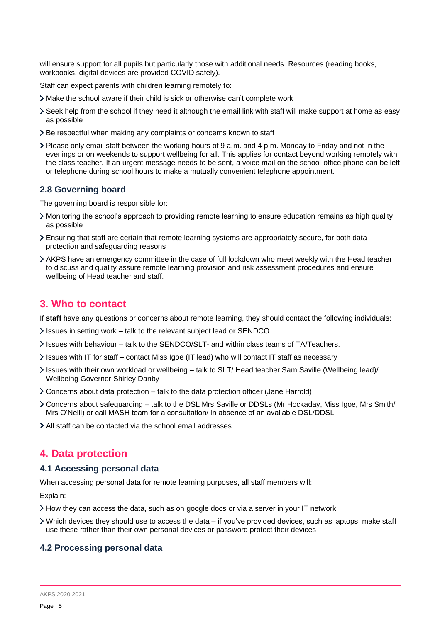will ensure support for all pupils but particularly those with additional needs. Resources (reading books, workbooks, digital devices are provided COVID safely).

Staff can expect parents with children learning remotely to:

- Make the school aware if their child is sick or otherwise can't complete work
- Seek help from the school if they need it although the email link with staff will make support at home as easy as possible
- > Be respectful when making any complaints or concerns known to staff
- Please only email staff between the working hours of 9 a.m. and 4 p.m. Monday to Friday and not in the evenings or on weekends to support wellbeing for all. This applies for contact beyond working remotely with the class teacher. If an urgent message needs to be sent, a voice mail on the school office phone can be left or telephone during school hours to make a mutually convenient telephone appointment.

#### **2.8 Governing board**

The governing board is responsible for:

- Monitoring the school's approach to providing remote learning to ensure education remains as high quality as possible
- Ensuring that staff are certain that remote learning systems are appropriately secure, for both data protection and safeguarding reasons
- AKPS have an emergency committee in the case of full lockdown who meet weekly with the Head teacher to discuss and quality assure remote learning provision and risk assessment procedures and ensure wellbeing of Head teacher and staff.

## <span id="page-4-0"></span>**3. Who to contact**

If **staff** have any questions or concerns about remote learning, they should contact the following individuals:

- Issues in setting work talk to the relevant subject lead or SENDCO
- Issues with behaviour talk to the SENDCO/SLT- and within class teams of TA/Teachers.
- Issues with IT for staff contact Miss Igoe (IT lead) who will contact IT staff as necessary
- Issues with their own workload or wellbeing talk to SLT/ Head teacher Sam Saville (Wellbeing lead)/ Wellbeing Governor Shirley Danby
- Concerns about data protection talk to the data protection officer (Jane Harrold)
- Concerns about safeguarding talk to the DSL Mrs Saville or DDSLs (Mr Hockaday, Miss Igoe, Mrs Smith/ Mrs O'Neill) or call MASH team for a consultation/ in absence of an available DSL/DDSL
- All staff can be contacted via the school email addresses

## <span id="page-4-1"></span>**4. Data protection**

#### **4.1 Accessing personal data**

When accessing personal data for remote learning purposes, all staff members will:

Explain:

- How they can access the data, such as on google docs or via a server in your IT network
- Which devices they should use to access the data if you've provided devices, such as laptops, make staff use these rather than their own personal devices or password protect their devices

#### **4.2 Processing personal data**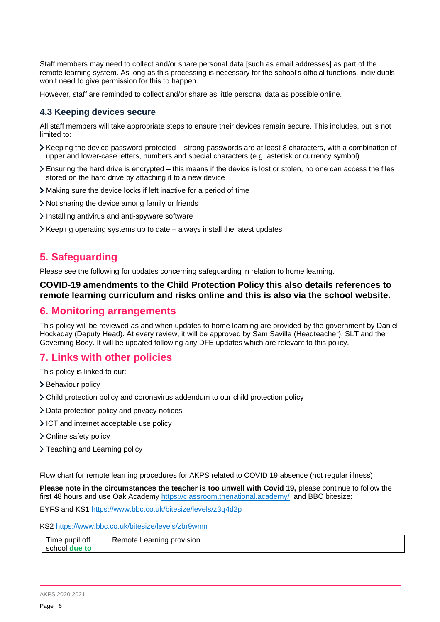Staff members may need to collect and/or share personal data [such as email addresses] as part of the remote learning system. As long as this processing is necessary for the school's official functions, individuals won't need to give permission for this to happen.

However, staff are reminded to collect and/or share as little personal data as possible online.

## **4.3 Keeping devices secure**

All staff members will take appropriate steps to ensure their devices remain secure. This includes, but is not limited to:

- Keeping the device password-protected strong passwords are at least 8 characters, with a combination of upper and lower-case letters, numbers and special characters (e.g. asterisk or currency symbol)
- Ensuring the hard drive is encrypted this means if the device is lost or stolen, no one can access the files stored on the hard drive by attaching it to a new device
- Making sure the device locks if left inactive for a period of time
- Not sharing the device among family or friends
- Installing antivirus and anti-spyware software
- Keeping operating systems up to date always install the latest updates

## <span id="page-5-0"></span>**5. Safeguarding**

Please see the following for updates concerning safeguarding in relation to home learning.

#### **COVID-19 amendments to the Child Protection Policy this also details references to remote learning curriculum and risks online and this is also via the school website.**

## <span id="page-5-1"></span>**6. Monitoring arrangements**

This policy will be reviewed as and when updates to home learning are provided by the government by Daniel Hockaday (Deputy Head). At every review, it will be approved by Sam Saville (Headteacher), SLT and the Governing Body. It will be updated following any DFE updates which are relevant to this policy.

# <span id="page-5-2"></span>**7. Links with other policies**

This policy is linked to our:

- > Behaviour policy
- Child protection policy and coronavirus addendum to our child protection policy
- > Data protection policy and privacy notices
- ICT and internet acceptable use policy
- > Online safety policy
- > Teaching and Learning policy

Flow chart for remote learning procedures for AKPS related to COVID 19 absence (not regular illness)

**Please note in the circumstances the teacher is too unwell with Covid 19,** please continue to follow the first 48 hours and use Oak Academy<https://classroom.thenational.academy/>and BBC bitesize:

EYFS and KS1<https://www.bbc.co.uk/bitesize/levels/z3g4d2p>

KS2<https://www.bbc.co.uk/bitesize/levels/zbr9wmn>

| Time pupil off       |                           |
|----------------------|---------------------------|
|                      | Remote Learning provision |
|                      |                           |
| school <b>due to</b> |                           |